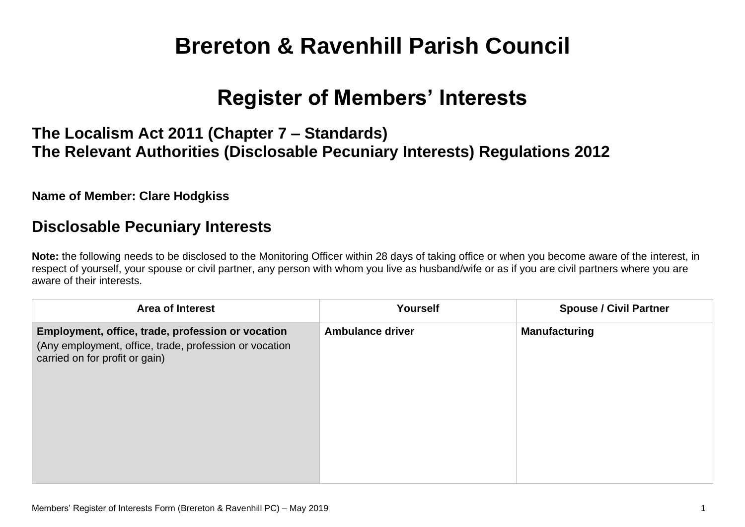# **Brereton & Ravenhill Parish Council**

## **Register of Members' Interests**

## **The Localism Act 2011 (Chapter 7 – Standards) The Relevant Authorities (Disclosable Pecuniary Interests) Regulations 2012**

#### **Name of Member: Clare Hodgkiss**

### **Disclosable Pecuniary Interests**

**Note:** the following needs to be disclosed to the Monitoring Officer within 28 days of taking office or when you become aware of the interest, in respect of yourself, your spouse or civil partner, any person with whom you live as husband/wife or as if you are civil partners where you are aware of their interests.

| <b>Area of Interest</b>                                                                                                                       | Yourself                | <b>Spouse / Civil Partner</b> |
|-----------------------------------------------------------------------------------------------------------------------------------------------|-------------------------|-------------------------------|
| Employment, office, trade, profession or vocation<br>(Any employment, office, trade, profession or vocation<br>carried on for profit or gain) | <b>Ambulance driver</b> | <b>Manufacturing</b>          |
|                                                                                                                                               |                         |                               |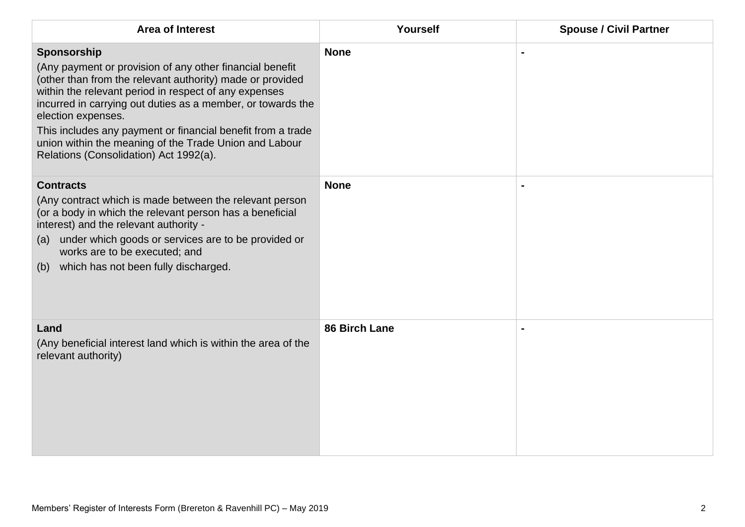| <b>Area of Interest</b>                                                                                                                                                                                                                                                                                                                                                                                                                               | Yourself      | <b>Spouse / Civil Partner</b> |
|-------------------------------------------------------------------------------------------------------------------------------------------------------------------------------------------------------------------------------------------------------------------------------------------------------------------------------------------------------------------------------------------------------------------------------------------------------|---------------|-------------------------------|
| Sponsorship<br>(Any payment or provision of any other financial benefit<br>(other than from the relevant authority) made or provided<br>within the relevant period in respect of any expenses<br>incurred in carrying out duties as a member, or towards the<br>election expenses.<br>This includes any payment or financial benefit from a trade<br>union within the meaning of the Trade Union and Labour<br>Relations (Consolidation) Act 1992(a). | <b>None</b>   |                               |
| <b>Contracts</b><br>(Any contract which is made between the relevant person<br>(or a body in which the relevant person has a beneficial<br>interest) and the relevant authority -<br>under which goods or services are to be provided or<br>(a)<br>works are to be executed; and<br>(b) which has not been fully discharged.                                                                                                                          | <b>None</b>   |                               |
| Land<br>(Any beneficial interest land which is within the area of the<br>relevant authority)                                                                                                                                                                                                                                                                                                                                                          | 86 Birch Lane |                               |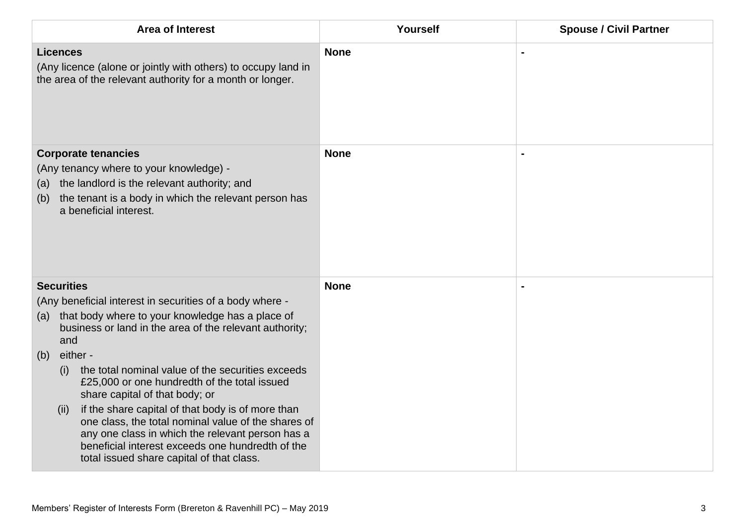| <b>Area of Interest</b>                                                                                                                                                                                                                                                                                                                                                                                             | Yourself    | <b>Spouse / Civil Partner</b> |
|---------------------------------------------------------------------------------------------------------------------------------------------------------------------------------------------------------------------------------------------------------------------------------------------------------------------------------------------------------------------------------------------------------------------|-------------|-------------------------------|
| <b>Licences</b><br>(Any licence (alone or jointly with others) to occupy land in<br>the area of the relevant authority for a month or longer.                                                                                                                                                                                                                                                                       | <b>None</b> |                               |
| <b>Corporate tenancies</b><br>(Any tenancy where to your knowledge) -<br>the landlord is the relevant authority; and<br>(a)<br>the tenant is a body in which the relevant person has<br>(b)<br>a beneficial interest.                                                                                                                                                                                               | <b>None</b> |                               |
| <b>Securities</b><br>(Any beneficial interest in securities of a body where -<br>that body where to your knowledge has a place of<br>(a)<br>business or land in the area of the relevant authority;<br>and<br>either -<br>(b)                                                                                                                                                                                       | <b>None</b> |                               |
| the total nominal value of the securities exceeds<br>(i)<br>£25,000 or one hundredth of the total issued<br>share capital of that body; or<br>if the share capital of that body is of more than<br>(ii)<br>one class, the total nominal value of the shares of<br>any one class in which the relevant person has a<br>beneficial interest exceeds one hundredth of the<br>total issued share capital of that class. |             |                               |